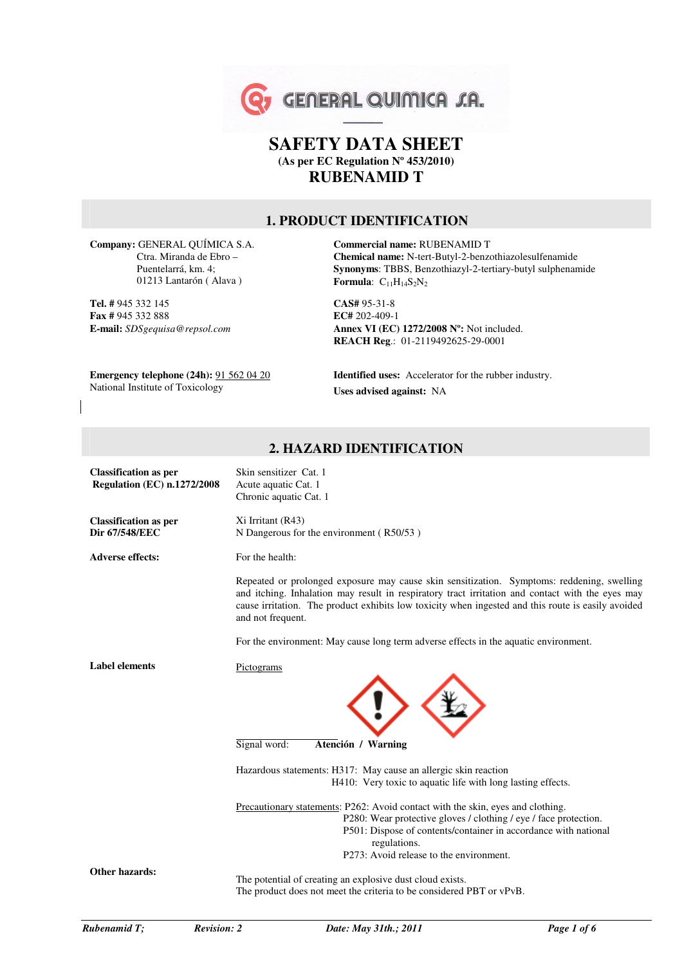

# **SAFETY DATA SHEET (As per EC Regulation Nº 453/2010) RUBENAMID T**

#### **1. PRODUCT IDENTIFICATION**

**Company:** GENERAL QUÍMICA S.A. Ctra. Miranda de Ebro – Puentelarrá, km. 4; 01213 Lantarón ( Alava )

**Tel. #** 945 332 145 **Fax #** 945 332 888 **E-mail:** *SDSgequisa@repsol.com*

**Commercial name:** RUBENAMID T **Chemical name:** N-tert-Butyl-2-benzothiazolesulfenamide **Synonyms**: TBBS, Benzothiazyl-2-tertiary-butyl sulphenamide **Formula**:  $C_{11}H_{14}S_2N_2$ 

**CAS#** 95-31-8 **EC#** 202-409-1 **Annex VI (EC) 1272/2008 Nº:** Not included. **REACH Reg**.: 01-2119492625-29-0001

**Emergency telephone (24h):** 91 562 04 20 National Institute of Toxicology

**Identified uses:** Accelerator for the rubber industry. **Uses advised against:** NA

#### **2. HAZARD IDENTIFICATION**

| <b>Classification as per</b><br><b>Regulation (EC) n.1272/2008</b> | Skin sensitizer Cat. 1<br>Acute aquatic Cat. 1<br>Chronic aquatic Cat. 1                                                                                                                                                                                                                                                  |
|--------------------------------------------------------------------|---------------------------------------------------------------------------------------------------------------------------------------------------------------------------------------------------------------------------------------------------------------------------------------------------------------------------|
| <b>Classification as per</b><br>Dir 67/548/EEC                     | Xi Irritant (R43)<br>N Dangerous for the environment (R50/53)                                                                                                                                                                                                                                                             |
| <b>Adverse effects:</b>                                            | For the health:                                                                                                                                                                                                                                                                                                           |
|                                                                    | Repeated or prolonged exposure may cause skin sensitization. Symptoms: reddening, swelling<br>and itching. Inhalation may result in respiratory tract irritation and contact with the eyes may<br>cause irritation. The product exhibits low toxicity when ingested and this route is easily avoided<br>and not frequent. |
|                                                                    | For the environment: May cause long term adverse effects in the aquatic environment.                                                                                                                                                                                                                                      |
| <b>Label elements</b>                                              | Pictograms                                                                                                                                                                                                                                                                                                                |
|                                                                    | Signal word:<br>Atención / Warning                                                                                                                                                                                                                                                                                        |
|                                                                    | Hazardous statements: H317: May cause an allergic skin reaction<br>H410: Very toxic to aquatic life with long lasting effects.                                                                                                                                                                                            |
|                                                                    | Precautionary statements: P262: Avoid contact with the skin, eyes and clothing.<br>P280: Wear protective gloves / clothing / eye / face protection.<br>P501: Dispose of contents/container in accordance with national<br>regulations.<br>P273: Avoid release to the environment.                                         |
| Other hazards:                                                     | The potential of creating an explosive dust cloud exists.<br>The product does not meet the criteria to be considered PBT or vPvB.                                                                                                                                                                                         |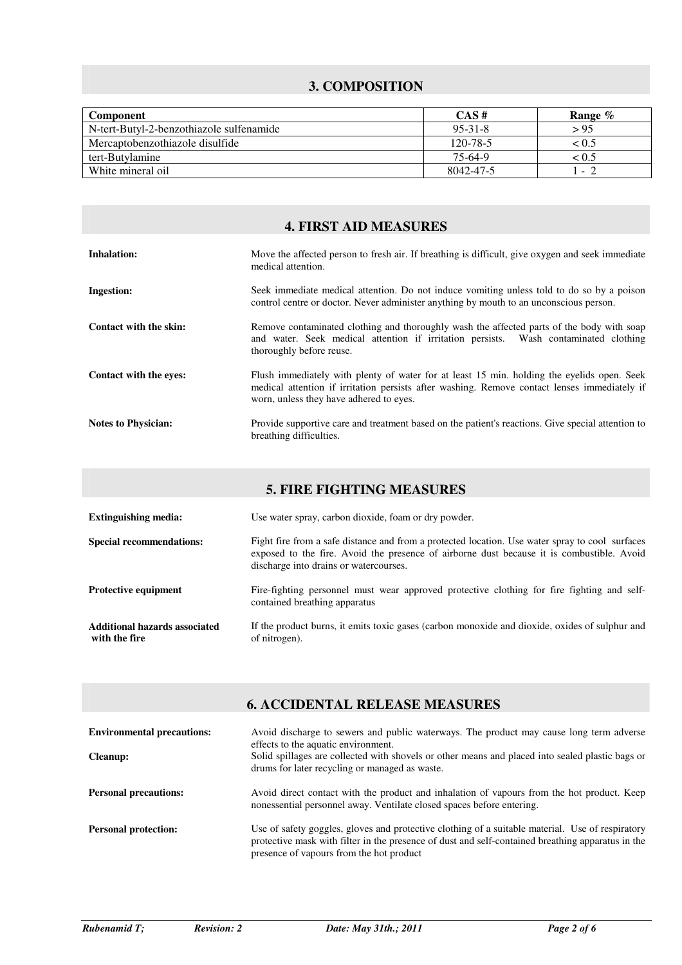# **3. COMPOSITION**

| <b>Component</b>                         | $CAS \#$  | Range %        |
|------------------------------------------|-----------|----------------|
| N-tert-Butyl-2-benzothiazole sulfenamide | $95-31-8$ | > 95           |
| Mercaptobenzothiazole disulfide          | 120-78-5  | < 0.5          |
| tert-Butylamine                          | 75-64-9   | ${}_{0.5}$     |
| White mineral oil                        | 8042-47-5 | $\overline{a}$ |

### **4. FIRST AID MEASURES**

| <b>Inhalation:</b>         | Move the affected person to fresh air. If breathing is difficult, give oxygen and seek immediate<br>medical attention.                                                                                                                |
|----------------------------|---------------------------------------------------------------------------------------------------------------------------------------------------------------------------------------------------------------------------------------|
| <b>Ingestion:</b>          | Seek immediate medical attention. Do not induce vomiting unless told to do so by a poison<br>control centre or doctor. Never administer anything by mouth to an unconscious person.                                                   |
| Contact with the skin:     | Remove contaminated clothing and thoroughly wash the affected parts of the body with soap<br>and water. Seek medical attention if irritation persists. Wash contaminated clothing<br>thoroughly before reuse.                         |
| Contact with the eves:     | Flush immediately with plenty of water for at least 15 min. holding the eyelids open. Seek<br>medical attention if irritation persists after washing. Remove contact lenses immediately if<br>worn, unless they have adhered to eyes. |
| <b>Notes to Physician:</b> | Provide supportive care and treatment based on the patient's reactions. Give special attention to<br>breathing difficulties.                                                                                                          |

| <b>5. FIRE FIGHTING MEASURES</b>               |                                                                                                                                                                                                                                        |  |
|------------------------------------------------|----------------------------------------------------------------------------------------------------------------------------------------------------------------------------------------------------------------------------------------|--|
| <b>Extinguishing media:</b>                    | Use water spray, carbon dioxide, foam or dry powder.                                                                                                                                                                                   |  |
| <b>Special recommendations:</b>                | Fight fire from a safe distance and from a protected location. Use water spray to cool surfaces<br>exposed to the fire. Avoid the presence of airborne dust because it is combustible. Avoid<br>discharge into drains or watercourses. |  |
| <b>Protective equipment</b>                    | Fire-fighting personnel must wear approved protective clothing for fire fighting and self-<br>contained breathing apparatus                                                                                                            |  |
| Additional hazards associated<br>with the fire | If the product burns, it emits toxic gases (carbon monoxide and dioxide, oxides of sulphur and<br>of nitrogen).                                                                                                                        |  |

| <b>6. ACCIDENTAL RELEASE MEASURES</b> |                                                                                                                                                                                                                                                   |  |
|---------------------------------------|---------------------------------------------------------------------------------------------------------------------------------------------------------------------------------------------------------------------------------------------------|--|
|                                       |                                                                                                                                                                                                                                                   |  |
| <b>Environmental precautions:</b>     | Avoid discharge to sewers and public waterways. The product may cause long term adverse<br>effects to the aquatic environment.                                                                                                                    |  |
| <b>Cleanup:</b>                       | Solid spillages are collected with shovels or other means and placed into sealed plastic bags or<br>drums for later recycling or managed as waste.                                                                                                |  |
| <b>Personal precautions:</b>          | Avoid direct contact with the product and inhalation of vapours from the hot product. Keep<br>nonessential personnel away. Ventilate closed spaces before entering.                                                                               |  |
| <b>Personal protection:</b>           | Use of safety goggles, gloves and protective clothing of a suitable material. Use of respiratory<br>protective mask with filter in the presence of dust and self-contained breathing apparatus in the<br>presence of vapours from the hot product |  |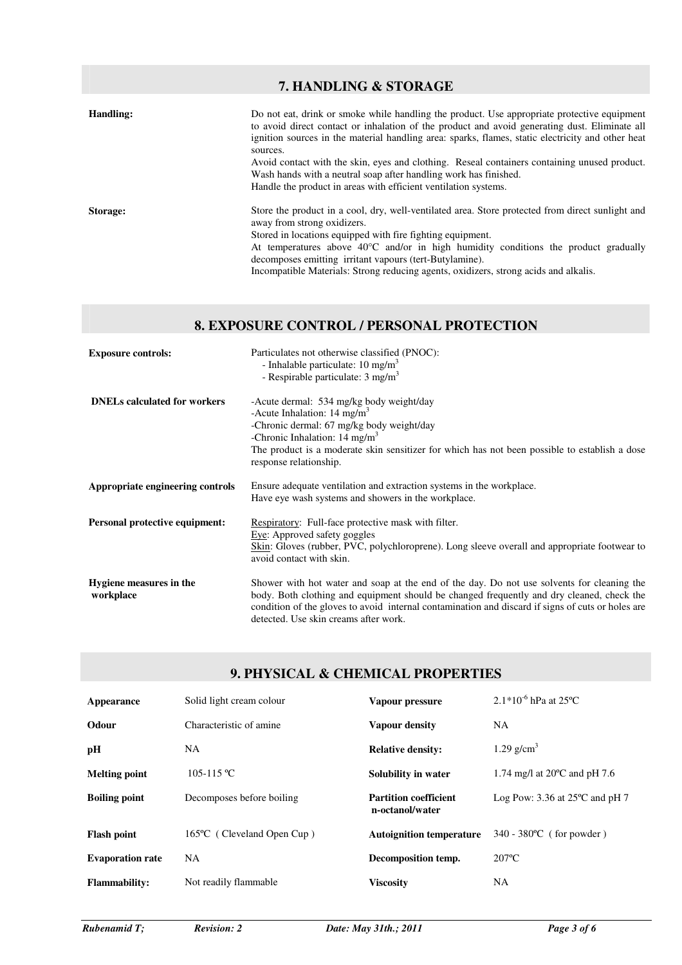|           | 7. HANDLING & STORAGE                                                                                                                                                                                                                                                                                                                                                                                                                             |
|-----------|---------------------------------------------------------------------------------------------------------------------------------------------------------------------------------------------------------------------------------------------------------------------------------------------------------------------------------------------------------------------------------------------------------------------------------------------------|
| Handling: | Do not eat, drink or smoke while handling the product. Use appropriate protective equipment<br>to avoid direct contact or inhalation of the product and avoid generating dust. Eliminate all<br>ignition sources in the material handling area: sparks, flames, static electricity and other heat                                                                                                                                                 |
|           | sources.<br>Avoid contact with the skin, eyes and clothing. Reseal containers containing unused product.<br>Wash hands with a neutral soap after handling work has finished.<br>Handle the product in areas with efficient ventilation systems.                                                                                                                                                                                                   |
| Storage:  | Store the product in a cool, dry, well-ventilated area. Store protected from direct sunlight and<br>away from strong oxidizers.<br>Stored in locations equipped with fire fighting equipment.<br>At temperatures above $40^{\circ}$ C and/or in high humidity conditions the product gradually<br>decomposes emitting irritant vapours (tert-Butylamine).<br>Incompatible Materials: Strong reducing agents, oxidizers, strong acids and alkalis. |

# **8. EXPOSURE CONTROL / PERSONAL PROTECTION**

| <b>Exposure controls:</b>            | Particulates not otherwise classified (PNOC):<br>- Inhalable particulate: $10 \text{ mg/m}^3$<br>- Respirable particulate: $3 \text{ mg/m}^3$                                                                                                                                                                                         |
|--------------------------------------|---------------------------------------------------------------------------------------------------------------------------------------------------------------------------------------------------------------------------------------------------------------------------------------------------------------------------------------|
| <b>DNELs calculated for workers</b>  | -Acute dermal: 534 mg/kg body weight/day<br>-Acute Inhalation: $14 \text{ mg/m}^3$<br>-Chronic dermal: 67 mg/kg body weight/day<br>-Chronic Inhalation: $14 \text{ mg/m}^3$<br>The product is a moderate skin sensitizer for which has not been possible to establish a dose<br>response relationship.                                |
| Appropriate engineering controls     | Ensure adequate ventilation and extraction systems in the workplace.<br>Have eye wash systems and showers in the workplace.                                                                                                                                                                                                           |
| Personal protective equipment:       | Respiratory: Full-face protective mask with filter.<br>Eye: Approved safety goggles<br>Skin: Gloves (rubber, PVC, polychloroprene). Long sleeve overall and appropriate footwear to<br>avoid contact with skin.                                                                                                                       |
| Hygiene measures in the<br>workplace | Shower with hot water and soap at the end of the day. Do not use solvents for cleaning the<br>body. Both clothing and equipment should be changed frequently and dry cleaned, check the<br>condition of the gloves to avoid internal contamination and discard if signs of cuts or holes are<br>detected. Use skin creams after work. |

# **9. PHYSICAL & CHEMICAL PROPERTIES**

| Appearance              | Solid light cream colour   | Vapour pressure                                 | $2.1*10^{-6}$ hPa at 25°C                |
|-------------------------|----------------------------|-------------------------------------------------|------------------------------------------|
| Odour                   | Characteristic of amine    | Vapour density                                  | NA.                                      |
| pН                      | NA.                        | <b>Relative density:</b>                        | 1.29 $g/cm3$                             |
| <b>Melting point</b>    | $105-115$ °C               | Solubility in water                             | 1.74 mg/l at $20^{\circ}$ C and pH 7.6   |
| <b>Boiling point</b>    | Decomposes before boiling  | <b>Partition coefficient</b><br>n-octanol/water | Log Pow: 3.36 at $25^{\circ}$ C and pH 7 |
| <b>Flash point</b>      | 165°C (Cleveland Open Cup) | <b>Autoignition temperature</b>                 | $340 - 380^{\circ}$ (for powder)         |
| <b>Evaporation rate</b> | <b>NA</b>                  | Decomposition temp.                             | $207^{\circ}$ C                          |
| <b>Flammability:</b>    | Not readily flammable      | <b>Viscosity</b>                                | <b>NA</b>                                |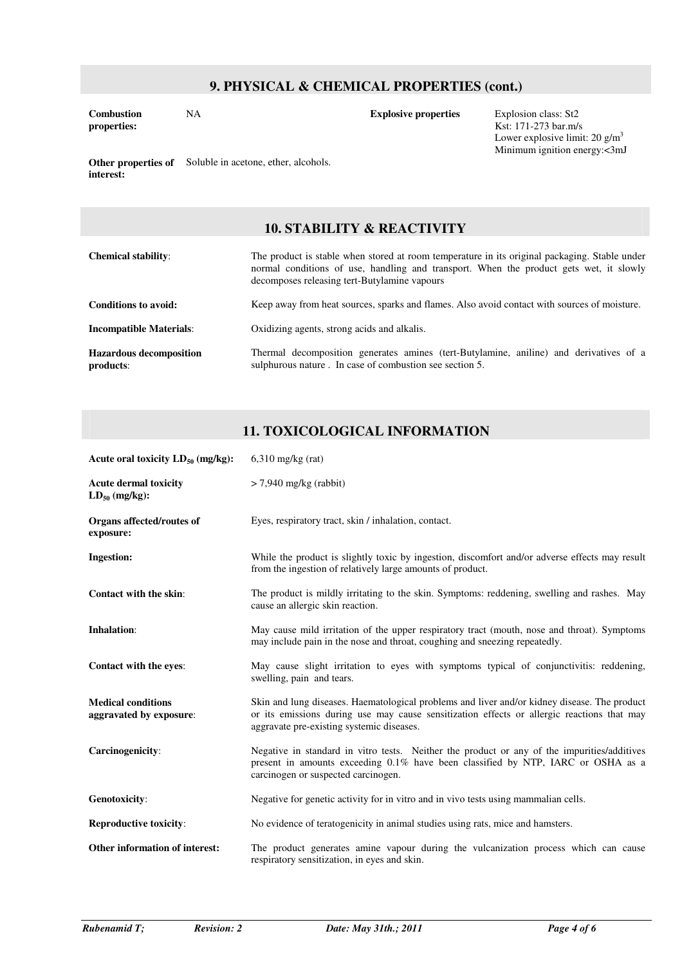### **9. PHYSICAL & CHEMICAL PROPERTIES (cont.)**

**Combustion properties:**

NA **Explosive properties** Explosion class: St2 Kst: 171-273 bar.m/s Lower explosive limit: 20  $\rm g/m^3$ Minimum ignition energy:<3mJ

**Other properties of**  Soluble in acetone, ether, alcohols. **interest:**

#### **10. STABILITY & REACTIVITY**

| <b>Chemical stability:</b>                  | The product is stable when stored at room temperature in its original packaging. Stable under<br>normal conditions of use, handling and transport. When the product gets wet, it slowly<br>decomposes releasing tert-Butylamine vapours |
|---------------------------------------------|-----------------------------------------------------------------------------------------------------------------------------------------------------------------------------------------------------------------------------------------|
| Conditions to avoid:                        | Keep away from heat sources, sparks and flames. Also avoid contact with sources of moisture.                                                                                                                                            |
| <b>Incompatible Materials:</b>              | Oxidizing agents, strong acids and alkalis.                                                                                                                                                                                             |
| <b>Hazardous decomposition</b><br>products: | Thermal decomposition generates amines (tert-Butylamine, aniline) and derivatives of a<br>sulphurous nature. In case of combustion see section 5.                                                                                       |

#### **11. TOXICOLOGICAL INFORMATION**

| Acute oral toxicity $LD_{50}$ (mg/kg):               | $6,310$ mg/kg (rat)                                                                                                                                                                                                                     |
|------------------------------------------------------|-----------------------------------------------------------------------------------------------------------------------------------------------------------------------------------------------------------------------------------------|
| <b>Acute dermal toxicity</b><br>$LD_{50}$ (mg/kg):   | $>$ 7,940 mg/kg (rabbit)                                                                                                                                                                                                                |
| Organs affected/routes of<br>exposure:               | Eyes, respiratory tract, skin / inhalation, contact.                                                                                                                                                                                    |
| Ingestion:                                           | While the product is slightly toxic by ingestion, discomfort and/or adverse effects may result<br>from the ingestion of relatively large amounts of product.                                                                            |
| <b>Contact with the skin:</b>                        | The product is mildly irritating to the skin. Symptoms: reddening, swelling and rashes. May<br>cause an allergic skin reaction.                                                                                                         |
| <b>Inhalation:</b>                                   | May cause mild irritation of the upper respiratory tract (mouth, nose and throat). Symptoms<br>may include pain in the nose and throat, coughing and sneezing repeatedly.                                                               |
| Contact with the eyes:                               | May cause slight irritation to eyes with symptoms typical of conjunctivitis: reddening,<br>swelling, pain and tears.                                                                                                                    |
| <b>Medical conditions</b><br>aggravated by exposure: | Skin and lung diseases. Haematological problems and liver and/or kidney disease. The product<br>or its emissions during use may cause sensitization effects or allergic reactions that may<br>aggravate pre-existing systemic diseases. |
| Carcinogenicity:                                     | Negative in standard in vitro tests. Neither the product or any of the impurities/additives<br>present in amounts exceeding 0.1% have been classified by NTP, IARC or OSHA as a<br>carcinogen or suspected carcinogen.                  |
| Genotoxicity:                                        | Negative for genetic activity for in vitro and in vivo tests using mammalian cells.                                                                                                                                                     |
| <b>Reproductive toxicity:</b>                        | No evidence of teratogenicity in animal studies using rats, mice and hamsters.                                                                                                                                                          |
| Other information of interest:                       | The product generates amine vapour during the vulcanization process which can cause<br>respiratory sensitization, in eyes and skin.                                                                                                     |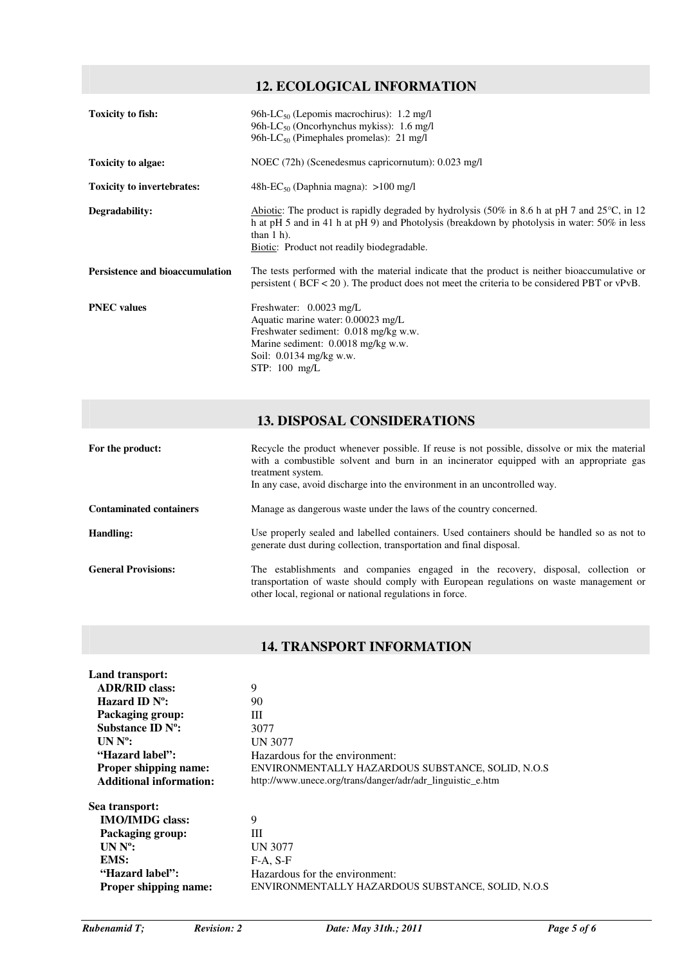# **12. ECOLOGICAL INFORMATION**

| <b>Toxicity to fish:</b>               | 96h-LC <sub>50</sub> (Lepomis macrochirus): $1.2 \text{ mg/l}$<br>96h-LC <sub>50</sub> (Oncorhynchus mykiss): $1.6 \text{ mg/l}$<br>96h-LC <sub>50</sub> (Pimephales promelas): 21 mg/l                                                                                                                        |
|----------------------------------------|----------------------------------------------------------------------------------------------------------------------------------------------------------------------------------------------------------------------------------------------------------------------------------------------------------------|
| Toxicity to algae:                     | NOEC (72h) (Scenedesmus capricornutum): 0.023 mg/l                                                                                                                                                                                                                                                             |
| <b>Toxicity to invertebrates:</b>      | 48h- $EC_{50}$ (Daphnia magna): >100 mg/l                                                                                                                                                                                                                                                                      |
| Degradability:                         | Abiotic: The product is rapidly degraded by hydrolysis $(50\% \text{ in } 8.6 \text{ h at pH } 7 \text{ and } 25\degree\text{C}, \text{ in } 12$<br>h at pH 5 and in 41 h at pH 9) and Photolysis (breakdown by photolysis in water: 50% in less<br>than $1$ h).<br>Biotic: Product not readily biodegradable. |
| <b>Persistence and bioaccumulation</b> | The tests performed with the material indicate that the product is neither bioaccumulative or<br>persistent ( $BCF < 20$ ). The product does not meet the criteria to be considered PBT or vPvB.                                                                                                               |
| <b>PNEC</b> values                     | Freshwater: $0.0023 \text{ mg/L}$<br>Aquatic marine water: 0.00023 mg/L<br>Freshwater sediment: 0.018 mg/kg w.w.<br>Marine sediment: 0.0018 mg/kg w.w.<br>Soil: $0.0134$ mg/kg w.w.<br>$STP: 100$ mg/L                                                                                                         |

### **13. DISPOSAL CONSIDERATIONS**

| For the product:               | Recycle the product whenever possible. If reuse is not possible, dissolve or mix the material<br>with a combustible solvent and burn in an incinerator equipped with an appropriate gas<br>treatment system.<br>In any case, avoid discharge into the environment in an uncontrolled way. |
|--------------------------------|-------------------------------------------------------------------------------------------------------------------------------------------------------------------------------------------------------------------------------------------------------------------------------------------|
| <b>Contaminated containers</b> | Manage as dangerous waste under the laws of the country concerned.                                                                                                                                                                                                                        |
| Handling:                      | Use properly sealed and labelled containers. Used containers should be handled so as not to<br>generate dust during collection, transportation and final disposal.                                                                                                                        |
| <b>General Provisions:</b>     | The establishments and companies engaged in the recovery, disposal, collection or<br>transportation of waste should comply with European regulations on waste management or<br>other local, regional or national regulations in force.                                                    |

# **14. TRANSPORT INFORMATION**

| Land transport:                |                                                            |
|--------------------------------|------------------------------------------------------------|
| <b>ADR/RID class:</b>          | 9                                                          |
| Hazard ID $N^{\circ}$ :        | 90                                                         |
| Packaging group:               | Ш                                                          |
| Substance ID $N^{\circ}$ :     | 3077                                                       |
| $UN No$ :                      | <b>UN 3077</b>                                             |
| "Hazard label":                | Hazardous for the environment:                             |
| <b>Proper shipping name:</b>   | ENVIRONMENTALLY HAZARDOUS SUBSTANCE, SOLID, N.O.S.         |
| <b>Additional information:</b> | http://www.unece.org/trans/danger/adr/adr_linguistic_e.htm |
| Sea transport:                 |                                                            |
| <b>IMO/IMDG</b> class:         | 9                                                          |
| Packaging group:               | Ш                                                          |
| $UN No$ :                      | <b>UN 3077</b>                                             |
| EMS:                           | $F-A. S-F$                                                 |
| "Hazard label":                | Hazardous for the environment:                             |
| <b>Proper shipping name:</b>   | ENVIRONMENTALLY HAZARDOUS SUBSTANCE, SOLID, N.O.S.         |